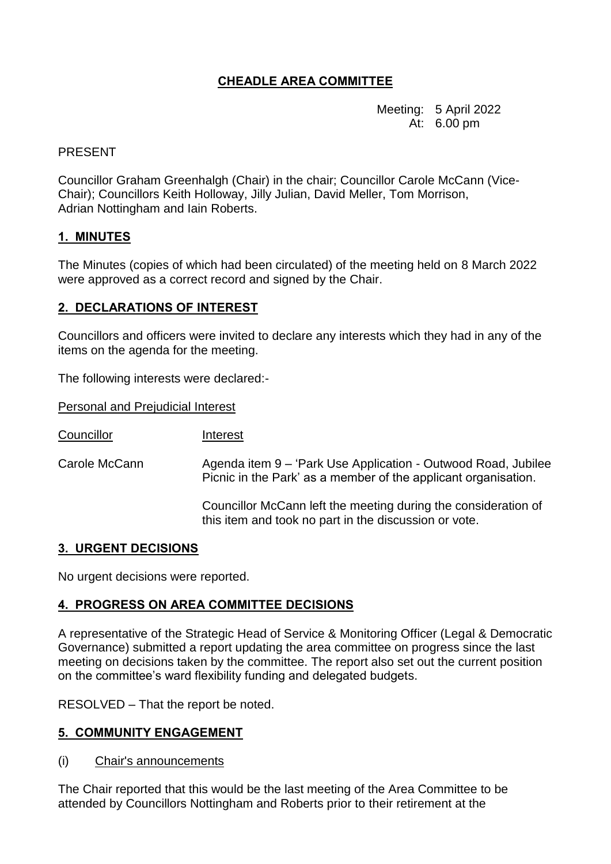# **CHEADLE AREA COMMITTEE**

Meeting: 5 April 2022 At: 6.00 pm

## PRESENT

Councillor Graham Greenhalgh (Chair) in the chair; Councillor Carole McCann (Vice-Chair); Councillors Keith Holloway, Jilly Julian, David Meller, Tom Morrison, Adrian Nottingham and Iain Roberts.

### **1. MINUTES**

The Minutes (copies of which had been circulated) of the meeting held on 8 March 2022 were approved as a correct record and signed by the Chair.

## **2. DECLARATIONS OF INTEREST**

Councillors and officers were invited to declare any interests which they had in any of the items on the agenda for the meeting.

The following interests were declared:-

Personal and Prejudicial Interest

Councillor Interest

Carole McCann Agenda item 9 – 'Park Use Application - Outwood Road, Jubilee Picnic in the Park' as a member of the applicant organisation.

> Councillor McCann left the meeting during the consideration of this item and took no part in the discussion or vote.

### **3. URGENT DECISIONS**

No urgent decisions were reported.

# **4. PROGRESS ON AREA COMMITTEE DECISIONS**

A representative of the Strategic Head of Service & Monitoring Officer (Legal & Democratic Governance) submitted a report updating the area committee on progress since the last meeting on decisions taken by the committee. The report also set out the current position on the committee's ward flexibility funding and delegated budgets.

RESOLVED – That the report be noted.

# **5. COMMUNITY ENGAGEMENT**

(i) Chair's announcements

The Chair reported that this would be the last meeting of the Area Committee to be attended by Councillors Nottingham and Roberts prior to their retirement at the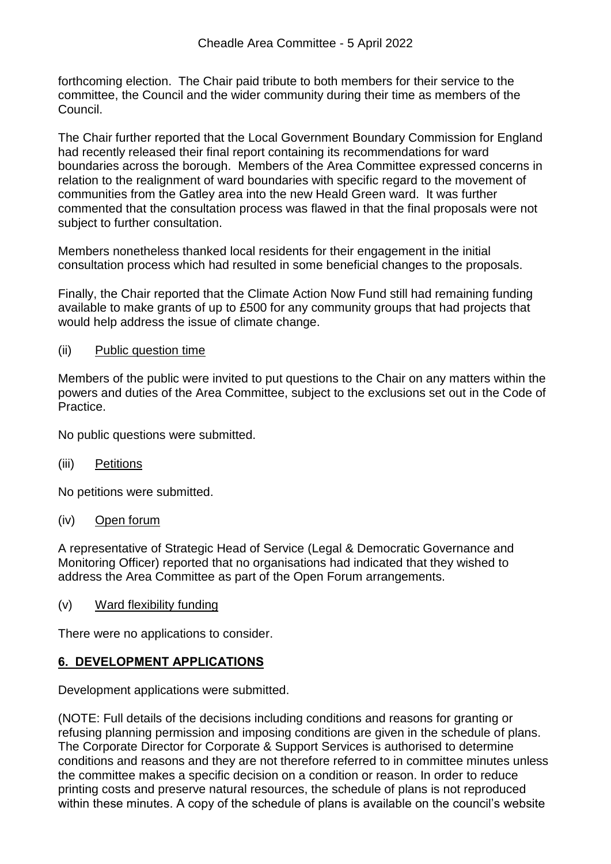forthcoming election. The Chair paid tribute to both members for their service to the committee, the Council and the wider community during their time as members of the Council.

The Chair further reported that the Local Government Boundary Commission for England had recently released their final report containing its recommendations for ward boundaries across the borough. Members of the Area Committee expressed concerns in relation to the realignment of ward boundaries with specific regard to the movement of communities from the Gatley area into the new Heald Green ward. It was further commented that the consultation process was flawed in that the final proposals were not subject to further consultation.

Members nonetheless thanked local residents for their engagement in the initial consultation process which had resulted in some beneficial changes to the proposals.

Finally, the Chair reported that the Climate Action Now Fund still had remaining funding available to make grants of up to £500 for any community groups that had projects that would help address the issue of climate change.

### (ii) Public question time

Members of the public were invited to put questions to the Chair on any matters within the powers and duties of the Area Committee, subject to the exclusions set out in the Code of **Practice** 

No public questions were submitted.

(iii) Petitions

No petitions were submitted.

(iv) Open forum

A representative of Strategic Head of Service (Legal & Democratic Governance and Monitoring Officer) reported that no organisations had indicated that they wished to address the Area Committee as part of the Open Forum arrangements.

(v) Ward flexibility funding

There were no applications to consider.

### **6. DEVELOPMENT APPLICATIONS**

Development applications were submitted.

(NOTE: Full details of the decisions including conditions and reasons for granting or refusing planning permission and imposing conditions are given in the schedule of plans. The Corporate Director for Corporate & Support Services is authorised to determine conditions and reasons and they are not therefore referred to in committee minutes unless the committee makes a specific decision on a condition or reason. In order to reduce printing costs and preserve natural resources, the schedule of plans is not reproduced within these minutes. A copy of the schedule of plans is available on the council's website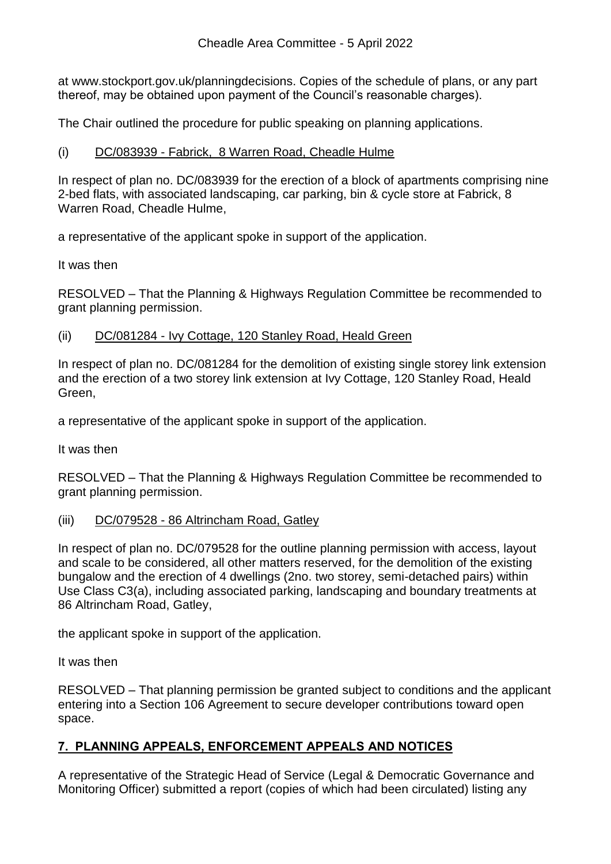at www.stockport.gov.uk/planningdecisions. Copies of the schedule of plans, or any part thereof, may be obtained upon payment of the Council's reasonable charges).

The Chair outlined the procedure for public speaking on planning applications.

## (i) DC/083939 - Fabrick, 8 Warren Road, Cheadle Hulme

In respect of plan no. DC/083939 for the erection of a block of apartments comprising nine 2-bed flats, with associated landscaping, car parking, bin & cycle store at Fabrick, 8 Warren Road, Cheadle Hulme,

a representative of the applicant spoke in support of the application.

It was then

RESOLVED – That the Planning & Highways Regulation Committee be recommended to grant planning permission.

### (ii) DC/081284 - Ivy Cottage, 120 Stanley Road, Heald Green

In respect of plan no. DC/081284 for the demolition of existing single storey link extension and the erection of a two storey link extension at Ivy Cottage, 120 Stanley Road, Heald Green,

a representative of the applicant spoke in support of the application.

It was then

RESOLVED – That the Planning & Highways Regulation Committee be recommended to grant planning permission.

### (iii) DC/079528 - 86 Altrincham Road, Gatley

In respect of plan no. DC/079528 for the outline planning permission with access, layout and scale to be considered, all other matters reserved, for the demolition of the existing bungalow and the erection of 4 dwellings (2no. two storey, semi-detached pairs) within Use Class C3(a), including associated parking, landscaping and boundary treatments at 86 Altrincham Road, Gatley,

the applicant spoke in support of the application.

It was then

RESOLVED – That planning permission be granted subject to conditions and the applicant entering into a Section 106 Agreement to secure developer contributions toward open space.

# **7. PLANNING APPEALS, ENFORCEMENT APPEALS AND NOTICES**

A representative of the Strategic Head of Service (Legal & Democratic Governance and Monitoring Officer) submitted a report (copies of which had been circulated) listing any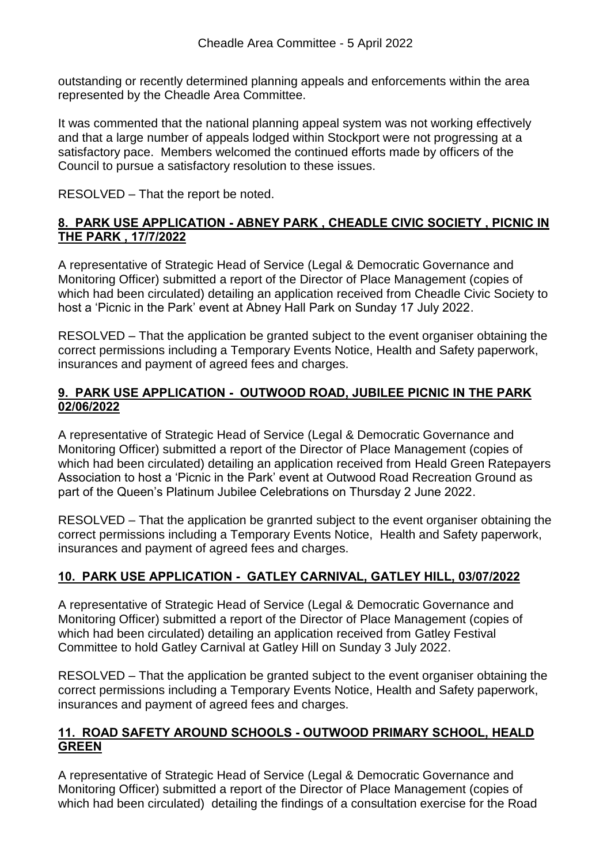outstanding or recently determined planning appeals and enforcements within the area represented by the Cheadle Area Committee.

It was commented that the national planning appeal system was not working effectively and that a large number of appeals lodged within Stockport were not progressing at a satisfactory pace. Members welcomed the continued efforts made by officers of the Council to pursue a satisfactory resolution to these issues.

RESOLVED – That the report be noted.

# **8. PARK USE APPLICATION - ABNEY PARK , CHEADLE CIVIC SOCIETY , PICNIC IN THE PARK , 17/7/2022**

A representative of Strategic Head of Service (Legal & Democratic Governance and Monitoring Officer) submitted a report of the Director of Place Management (copies of which had been circulated) detailing an application received from Cheadle Civic Society to host a 'Picnic in the Park' event at Abney Hall Park on Sunday 17 July 2022.

RESOLVED – That the application be granted subject to the event organiser obtaining the correct permissions including a Temporary Events Notice, Health and Safety paperwork, insurances and payment of agreed fees and charges.

## **9. PARK USE APPLICATION - OUTWOOD ROAD, JUBILEE PICNIC IN THE PARK 02/06/2022**

A representative of Strategic Head of Service (Legal & Democratic Governance and Monitoring Officer) submitted a report of the Director of Place Management (copies of which had been circulated) detailing an application received from Heald Green Ratepayers Association to host a 'Picnic in the Park' event at Outwood Road Recreation Ground as part of the Queen's Platinum Jubilee Celebrations on Thursday 2 June 2022.

RESOLVED – That the application be granrted subject to the event organiser obtaining the correct permissions including a Temporary Events Notice, Health and Safety paperwork, insurances and payment of agreed fees and charges.

# **10. PARK USE APPLICATION - GATLEY CARNIVAL, GATLEY HILL, 03/07/2022**

A representative of Strategic Head of Service (Legal & Democratic Governance and Monitoring Officer) submitted a report of the Director of Place Management (copies of which had been circulated) detailing an application received from Gatley Festival Committee to hold Gatley Carnival at Gatley Hill on Sunday 3 July 2022.

RESOLVED – That the application be granted subject to the event organiser obtaining the correct permissions including a Temporary Events Notice, Health and Safety paperwork, insurances and payment of agreed fees and charges.

## **11. ROAD SAFETY AROUND SCHOOLS - OUTWOOD PRIMARY SCHOOL, HEALD GREEN**

A representative of Strategic Head of Service (Legal & Democratic Governance and Monitoring Officer) submitted a report of the Director of Place Management (copies of which had been circulated) detailing the findings of a consultation exercise for the Road